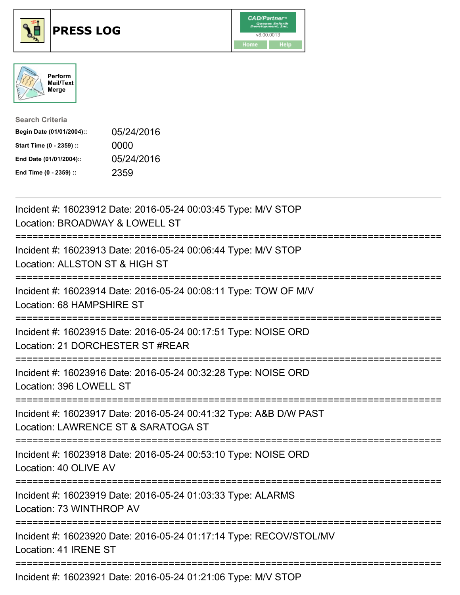





| <b>Search Criteria</b>    |            |
|---------------------------|------------|
| Begin Date (01/01/2004):: | 05/24/2016 |
| Start Time (0 - 2359) ::  | 0000       |
| End Date (01/01/2004)::   | 05/24/2016 |
| End Time (0 - 2359) ::    | 2359       |

| Incident #: 16023912 Date: 2016-05-24 00:03:45 Type: M/V STOP<br>Location: BROADWAY & LOWELL ST                                  |
|----------------------------------------------------------------------------------------------------------------------------------|
| Incident #: 16023913 Date: 2016-05-24 00:06:44 Type: M/V STOP<br>Location: ALLSTON ST & HIGH ST                                  |
| Incident #: 16023914 Date: 2016-05-24 00:08:11 Type: TOW OF M/V<br>Location: 68 HAMPSHIRE ST<br>.-----------------               |
| Incident #: 16023915 Date: 2016-05-24 00:17:51 Type: NOISE ORD<br>Location: 21 DORCHESTER ST #REAR<br>========================== |
| Incident #: 16023916 Date: 2016-05-24 00:32:28 Type: NOISE ORD<br>Location: 396 LOWELL ST<br>.---------------------------------- |
| Incident #: 16023917 Date: 2016-05-24 00:41:32 Type: A&B D/W PAST<br>Location: LAWRENCE ST & SARATOGA ST                         |
| Incident #: 16023918 Date: 2016-05-24 00:53:10 Type: NOISE ORD<br>Location: 40 OLIVE AV                                          |
| Incident #: 16023919 Date: 2016-05-24 01:03:33 Type: ALARMS<br>Location: 73 WINTHROP AV                                          |
| Incident #: 16023920 Date: 2016-05-24 01:17:14 Type: RECOV/STOL/MV<br>Location: 41 IRENE ST                                      |
|                                                                                                                                  |

Incident #: 16023921 Date: 2016-05-24 01:21:06 Type: M/V STOP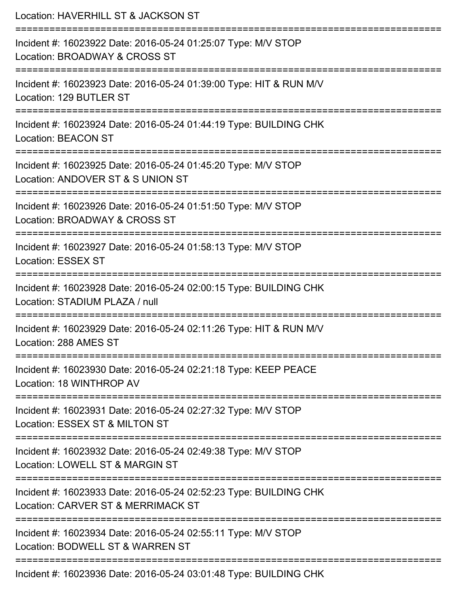| Location: HAVERHILL ST & JACKSON ST                                                                     |
|---------------------------------------------------------------------------------------------------------|
| Incident #: 16023922 Date: 2016-05-24 01:25:07 Type: M/V STOP<br>Location: BROADWAY & CROSS ST          |
| Incident #: 16023923 Date: 2016-05-24 01:39:00 Type: HIT & RUN M/V<br>Location: 129 BUTLER ST           |
| Incident #: 16023924 Date: 2016-05-24 01:44:19 Type: BUILDING CHK<br><b>Location: BEACON ST</b>         |
| Incident #: 16023925 Date: 2016-05-24 01:45:20 Type: M/V STOP<br>Location: ANDOVER ST & S UNION ST      |
| Incident #: 16023926 Date: 2016-05-24 01:51:50 Type: M/V STOP<br>Location: BROADWAY & CROSS ST          |
| Incident #: 16023927 Date: 2016-05-24 01:58:13 Type: M/V STOP<br><b>Location: ESSEX ST</b>              |
| Incident #: 16023928 Date: 2016-05-24 02:00:15 Type: BUILDING CHK<br>Location: STADIUM PLAZA / null     |
| Incident #: 16023929 Date: 2016-05-24 02:11:26 Type: HIT & RUN M/V<br>Location: 288 AMES ST             |
| Incident #: 16023930 Date: 2016-05-24 02:21:18 Type: KEEP PEACE<br>Location: 18 WINTHROP AV             |
| Incident #: 16023931 Date: 2016-05-24 02:27:32 Type: M/V STOP<br>Location: ESSEX ST & MILTON ST         |
| Incident #: 16023932 Date: 2016-05-24 02:49:38 Type: M/V STOP<br>Location: LOWELL ST & MARGIN ST        |
| Incident #: 16023933 Date: 2016-05-24 02:52:23 Type: BUILDING CHK<br>Location: CARVER ST & MERRIMACK ST |
| Incident #: 16023934 Date: 2016-05-24 02:55:11 Type: M/V STOP<br>Location: BODWELL ST & WARREN ST       |
| Incident #: 16023936 Date: 2016-05-24 03:01:48 Type: BUILDING CHK                                       |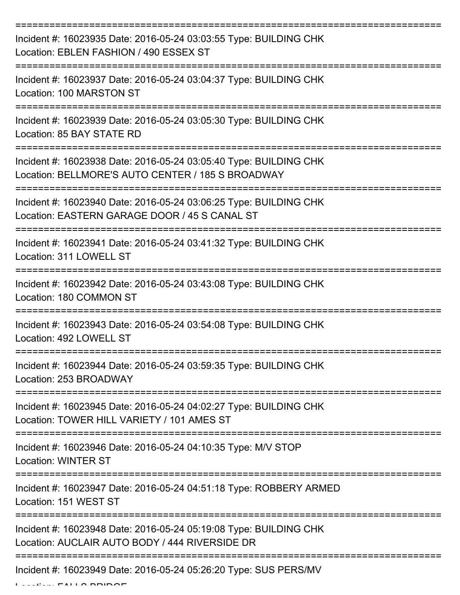| Incident #: 16023935 Date: 2016-05-24 03:03:55 Type: BUILDING CHK<br>Location: EBLEN FASHION / 490 ESSEX ST            |
|------------------------------------------------------------------------------------------------------------------------|
| Incident #: 16023937 Date: 2016-05-24 03:04:37 Type: BUILDING CHK<br>Location: 100 MARSTON ST                          |
| Incident #: 16023939 Date: 2016-05-24 03:05:30 Type: BUILDING CHK<br>Location: 85 BAY STATE RD                         |
| Incident #: 16023938 Date: 2016-05-24 03:05:40 Type: BUILDING CHK<br>Location: BELLMORE'S AUTO CENTER / 185 S BROADWAY |
| Incident #: 16023940 Date: 2016-05-24 03:06:25 Type: BUILDING CHK<br>Location: EASTERN GARAGE DOOR / 45 S CANAL ST     |
| Incident #: 16023941 Date: 2016-05-24 03:41:32 Type: BUILDING CHK<br>Location: 311 LOWELL ST                           |
| Incident #: 16023942 Date: 2016-05-24 03:43:08 Type: BUILDING CHK<br>Location: 180 COMMON ST                           |
| Incident #: 16023943 Date: 2016-05-24 03:54:08 Type: BUILDING CHK<br>Location: 492 LOWELL ST                           |
| Incident #: 16023944 Date: 2016-05-24 03:59:35 Type: BUILDING CHK<br>Location: 253 BROADWAY                            |
| Incident #: 16023945 Date: 2016-05-24 04:02:27 Type: BUILDING CHK<br>Location: TOWER HILL VARIETY / 101 AMES ST        |
| Incident #: 16023946 Date: 2016-05-24 04:10:35 Type: M/V STOP<br><b>Location: WINTER ST</b>                            |
| Incident #: 16023947 Date: 2016-05-24 04:51:18 Type: ROBBERY ARMED<br>Location: 151 WEST ST                            |
| Incident #: 16023948 Date: 2016-05-24 05:19:08 Type: BUILDING CHK<br>Location: AUCLAIR AUTO BODY / 444 RIVERSIDE DR    |
| Incident #: 16023949 Date: 2016-05-24 05:26:20 Type: SUS PERS/MV                                                       |

 $L$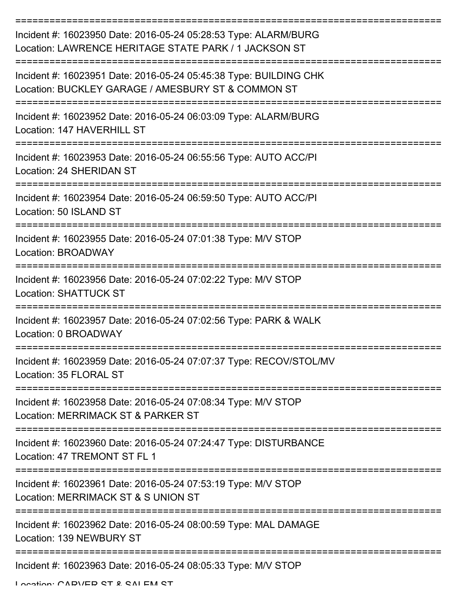| Incident #: 16023950 Date: 2016-05-24 05:28:53 Type: ALARM/BURG<br>Location: LAWRENCE HERITAGE STATE PARK / 1 JACKSON ST |
|--------------------------------------------------------------------------------------------------------------------------|
| Incident #: 16023951 Date: 2016-05-24 05:45:38 Type: BUILDING CHK<br>Location: BUCKLEY GARAGE / AMESBURY ST & COMMON ST  |
| Incident #: 16023952 Date: 2016-05-24 06:03:09 Type: ALARM/BURG<br>Location: 147 HAVERHILL ST                            |
| Incident #: 16023953 Date: 2016-05-24 06:55:56 Type: AUTO ACC/PI<br>Location: 24 SHERIDAN ST                             |
| Incident #: 16023954 Date: 2016-05-24 06:59:50 Type: AUTO ACC/PI<br>Location: 50 ISLAND ST                               |
| Incident #: 16023955 Date: 2016-05-24 07:01:38 Type: M/V STOP<br><b>Location: BROADWAY</b>                               |
| Incident #: 16023956 Date: 2016-05-24 07:02:22 Type: M/V STOP<br><b>Location: SHATTUCK ST</b>                            |
| Incident #: 16023957 Date: 2016-05-24 07:02:56 Type: PARK & WALK<br>Location: 0 BROADWAY                                 |
| Incident #: 16023959 Date: 2016-05-24 07:07:37 Type: RECOV/STOL/MV<br>Location: 35 FLORAL ST                             |
| :==============<br>Incident #: 16023958 Date: 2016-05-24 07:08:34 Type: M/V STOP<br>Location: MERRIMACK ST & PARKER ST   |
| Incident #: 16023960 Date: 2016-05-24 07:24:47 Type: DISTURBANCE<br>Location: 47 TREMONT ST FL 1                         |
| Incident #: 16023961 Date: 2016-05-24 07:53:19 Type: M/V STOP<br>Location: MERRIMACK ST & S UNION ST                     |
| Incident #: 16023962 Date: 2016-05-24 08:00:59 Type: MAL DAMAGE<br>Location: 139 NEWBURY ST                              |
| Incident #: 16023963 Date: 2016-05-24 08:05:33 Type: M/V STOP                                                            |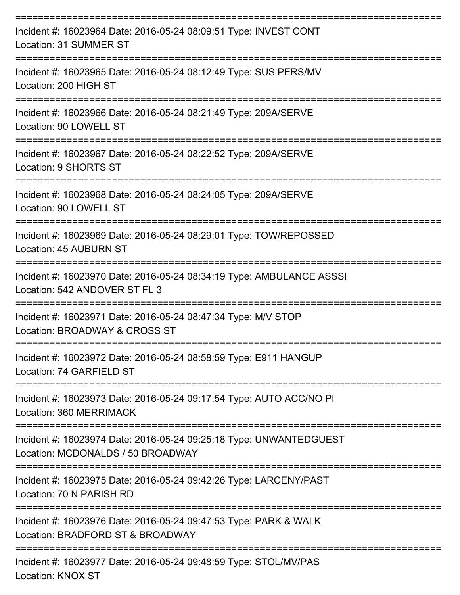| Incident #: 16023964 Date: 2016-05-24 08:09:51 Type: INVEST CONT<br>Location: 31 SUMMER ST              |
|---------------------------------------------------------------------------------------------------------|
| Incident #: 16023965 Date: 2016-05-24 08:12:49 Type: SUS PERS/MV<br>Location: 200 HIGH ST               |
| Incident #: 16023966 Date: 2016-05-24 08:21:49 Type: 209A/SERVE<br>Location: 90 LOWELL ST               |
| Incident #: 16023967 Date: 2016-05-24 08:22:52 Type: 209A/SERVE<br>Location: 9 SHORTS ST                |
| Incident #: 16023968 Date: 2016-05-24 08:24:05 Type: 209A/SERVE<br>Location: 90 LOWELL ST               |
| Incident #: 16023969 Date: 2016-05-24 08:29:01 Type: TOW/REPOSSED<br>Location: 45 AUBURN ST             |
| Incident #: 16023970 Date: 2016-05-24 08:34:19 Type: AMBULANCE ASSSI<br>Location: 542 ANDOVER ST FL 3   |
| Incident #: 16023971 Date: 2016-05-24 08:47:34 Type: M/V STOP<br>Location: BROADWAY & CROSS ST          |
| Incident #: 16023972 Date: 2016-05-24 08:58:59 Type: E911 HANGUP<br>Location: 74 GARFIELD ST            |
| Incident #: 16023973 Date: 2016-05-24 09:17:54 Type: AUTO ACC/NO PI<br>Location: 360 MERRIMACK          |
| Incident #: 16023974 Date: 2016-05-24 09:25:18 Type: UNWANTEDGUEST<br>Location: MCDONALDS / 50 BROADWAY |
| Incident #: 16023975 Date: 2016-05-24 09:42:26 Type: LARCENY/PAST<br>Location: 70 N PARISH RD           |
| Incident #: 16023976 Date: 2016-05-24 09:47:53 Type: PARK & WALK<br>Location: BRADFORD ST & BROADWAY    |
| Incident #: 16023977 Date: 2016-05-24 09:48:59 Type: STOL/MV/PAS                                        |

Location: KNOX ST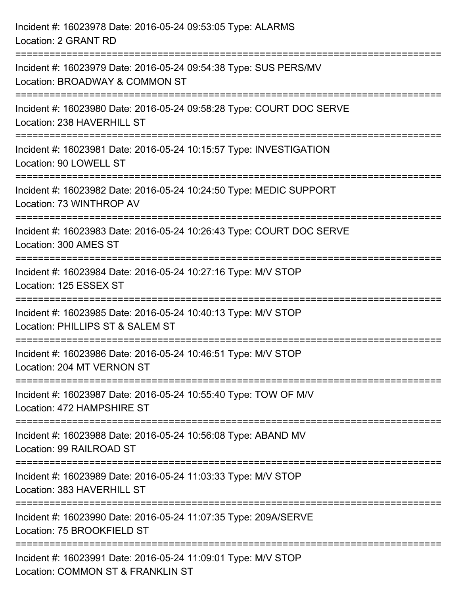| Incident #: 16023978 Date: 2016-05-24 09:53:05 Type: ALARMS<br>Location: 2 GRANT RD                                                                             |
|-----------------------------------------------------------------------------------------------------------------------------------------------------------------|
| Incident #: 16023979 Date: 2016-05-24 09:54:38 Type: SUS PERS/MV<br>Location: BROADWAY & COMMON ST                                                              |
| Incident #: 16023980 Date: 2016-05-24 09:58:28 Type: COURT DOC SERVE<br>Location: 238 HAVERHILL ST<br>;==================================<br>------------------ |
| Incident #: 16023981 Date: 2016-05-24 10:15:57 Type: INVESTIGATION<br>Location: 90 LOWELL ST                                                                    |
| Incident #: 16023982 Date: 2016-05-24 10:24:50 Type: MEDIC SUPPORT<br>Location: 73 WINTHROP AV<br>=================                                             |
| Incident #: 16023983 Date: 2016-05-24 10:26:43 Type: COURT DOC SERVE<br>Location: 300 AMES ST                                                                   |
| ======================<br>Incident #: 16023984 Date: 2016-05-24 10:27:16 Type: M/V STOP<br>Location: 125 ESSEX ST                                               |
| Incident #: 16023985 Date: 2016-05-24 10:40:13 Type: M/V STOP<br>Location: PHILLIPS ST & SALEM ST                                                               |
| Incident #: 16023986 Date: 2016-05-24 10:46:51 Type: M/V STOP<br>Location: 204 MT VERNON ST                                                                     |
| Incident #: 16023987 Date: 2016-05-24 10:55:40 Type: TOW OF M/V<br>Location: 472 HAMPSHIRE ST                                                                   |
| Incident #: 16023988 Date: 2016-05-24 10:56:08 Type: ABAND MV<br>Location: 99 RAILROAD ST                                                                       |
| Incident #: 16023989 Date: 2016-05-24 11:03:33 Type: M/V STOP<br>Location: 383 HAVERHILL ST                                                                     |
| Incident #: 16023990 Date: 2016-05-24 11:07:35 Type: 209A/SERVE<br>Location: 75 BROOKFIELD ST                                                                   |
| Incident #: 16023991 Date: 2016-05-24 11:09:01 Type: M/V STOP<br>Location: COMMON ST & FRANKLIN ST                                                              |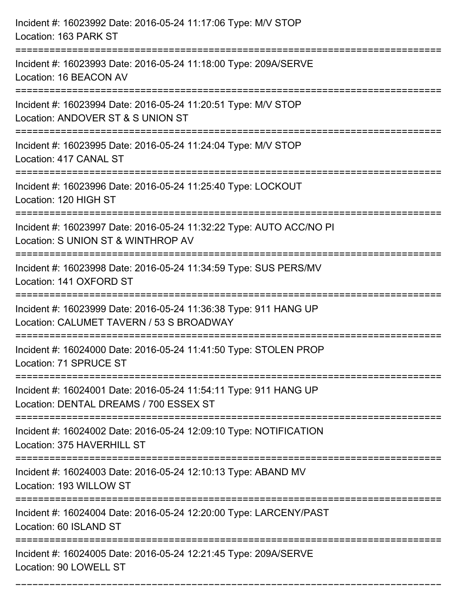| Incident #: 16023992 Date: 2016-05-24 11:17:06 Type: M/V STOP<br>Location: 163 PARK ST                                            |
|-----------------------------------------------------------------------------------------------------------------------------------|
| ====================================<br>Incident #: 16023993 Date: 2016-05-24 11:18:00 Type: 209A/SERVE<br>Location: 16 BEACON AV |
| Incident #: 16023994 Date: 2016-05-24 11:20:51 Type: M/V STOP<br>Location: ANDOVER ST & S UNION ST                                |
| :=====================<br>Incident #: 16023995 Date: 2016-05-24 11:24:04 Type: M/V STOP<br>Location: 417 CANAL ST                 |
| Incident #: 16023996 Date: 2016-05-24 11:25:40 Type: LOCKOUT<br>Location: 120 HIGH ST                                             |
| Incident #: 16023997 Date: 2016-05-24 11:32:22 Type: AUTO ACC/NO PI<br>Location: S UNION ST & WINTHROP AV                         |
| Incident #: 16023998 Date: 2016-05-24 11:34:59 Type: SUS PERS/MV<br>Location: 141 OXFORD ST<br>-----------------                  |
| Incident #: 16023999 Date: 2016-05-24 11:36:38 Type: 911 HANG UP<br>Location: CALUMET TAVERN / 53 S BROADWAY                      |
| Incident #: 16024000 Date: 2016-05-24 11:41:50 Type: STOLEN PROP<br>Location: 71 SPRUCE ST                                        |
| Incident #: 16024001 Date: 2016-05-24 11:54:11 Type: 911 HANG UP<br>Location: DENTAL DREAMS / 700 ESSEX ST                        |
| Incident #: 16024002 Date: 2016-05-24 12:09:10 Type: NOTIFICATION<br>Location: 375 HAVERHILL ST                                   |
| Incident #: 16024003 Date: 2016-05-24 12:10:13 Type: ABAND MV<br>Location: 193 WILLOW ST                                          |
| Incident #: 16024004 Date: 2016-05-24 12:20:00 Type: LARCENY/PAST<br>Location: 60 ISLAND ST                                       |
| Incident #: 16024005 Date: 2016-05-24 12:21:45 Type: 209A/SERVE<br>Location: 90 LOWELL ST                                         |

===========================================================================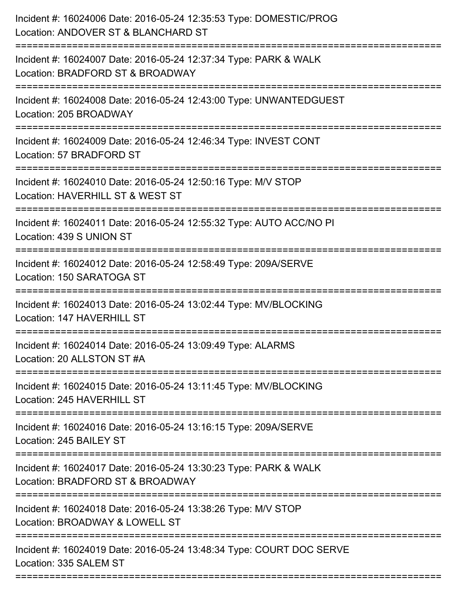| Incident #: 16024006 Date: 2016-05-24 12:35:53 Type: DOMESTIC/PROG<br>Location: ANDOVER ST & BLANCHARD ST |
|-----------------------------------------------------------------------------------------------------------|
| Incident #: 16024007 Date: 2016-05-24 12:37:34 Type: PARK & WALK<br>Location: BRADFORD ST & BROADWAY      |
| Incident #: 16024008 Date: 2016-05-24 12:43:00 Type: UNWANTEDGUEST<br>Location: 205 BROADWAY              |
| Incident #: 16024009 Date: 2016-05-24 12:46:34 Type: INVEST CONT<br>Location: 57 BRADFORD ST              |
| Incident #: 16024010 Date: 2016-05-24 12:50:16 Type: M/V STOP<br>Location: HAVERHILL ST & WEST ST         |
| Incident #: 16024011 Date: 2016-05-24 12:55:32 Type: AUTO ACC/NO PI<br>Location: 439 S UNION ST           |
| Incident #: 16024012 Date: 2016-05-24 12:58:49 Type: 209A/SERVE<br>Location: 150 SARATOGA ST              |
| Incident #: 16024013 Date: 2016-05-24 13:02:44 Type: MV/BLOCKING<br>Location: 147 HAVERHILL ST            |
| Incident #: 16024014 Date: 2016-05-24 13:09:49 Type: ALARMS<br>Location: 20 ALLSTON ST #A                 |
| Incident #: 16024015 Date: 2016-05-24 13:11:45 Type: MV/BLOCKING<br>Location: 245 HAVERHILL ST            |
| Incident #: 16024016 Date: 2016-05-24 13:16:15 Type: 209A/SERVE<br>Location: 245 BAILEY ST                |
| Incident #: 16024017 Date: 2016-05-24 13:30:23 Type: PARK & WALK<br>Location: BRADFORD ST & BROADWAY      |
| Incident #: 16024018 Date: 2016-05-24 13:38:26 Type: M/V STOP<br>Location: BROADWAY & LOWELL ST           |
| Incident #: 16024019 Date: 2016-05-24 13:48:34 Type: COURT DOC SERVE<br>Location: 335 SALEM ST            |
|                                                                                                           |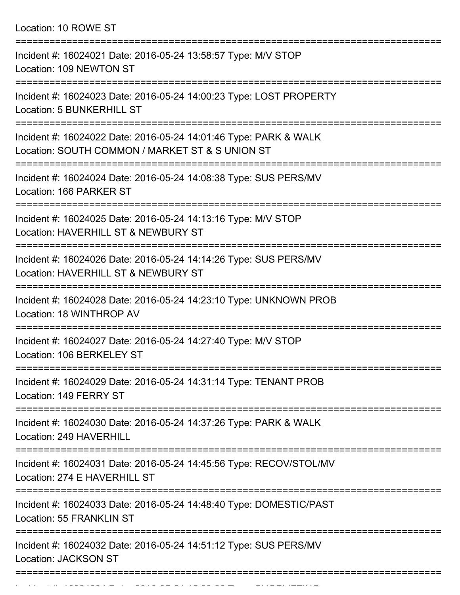|  | Location: 10 ROWE ST |  |
|--|----------------------|--|
|--|----------------------|--|

| Incident #: 16024021 Date: 2016-05-24 13:58:57 Type: M/V STOP<br>Location: 109 NEWTON ST                            |
|---------------------------------------------------------------------------------------------------------------------|
| Incident #: 16024023 Date: 2016-05-24 14:00:23 Type: LOST PROPERTY<br>Location: 5 BUNKERHILL ST                     |
| Incident #: 16024022 Date: 2016-05-24 14:01:46 Type: PARK & WALK<br>Location: SOUTH COMMON / MARKET ST & S UNION ST |
| Incident #: 16024024 Date: 2016-05-24 14:08:38 Type: SUS PERS/MV<br>Location: 166 PARKER ST                         |
| Incident #: 16024025 Date: 2016-05-24 14:13:16 Type: M/V STOP<br>Location: HAVERHILL ST & NEWBURY ST                |
| Incident #: 16024026 Date: 2016-05-24 14:14:26 Type: SUS PERS/MV<br>Location: HAVERHILL ST & NEWBURY ST             |
| Incident #: 16024028 Date: 2016-05-24 14:23:10 Type: UNKNOWN PROB<br>Location: 18 WINTHROP AV                       |
| Incident #: 16024027 Date: 2016-05-24 14:27:40 Type: M/V STOP<br>Location: 106 BERKELEY ST                          |
| Incident #: 16024029 Date: 2016-05-24 14:31:14 Type: TENANT PROB<br>Location: 149 FERRY ST                          |
| Incident #: 16024030 Date: 2016-05-24 14:37:26 Type: PARK & WALK<br>Location: 249 HAVERHILL                         |
| Incident #: 16024031 Date: 2016-05-24 14:45:56 Type: RECOV/STOL/MV<br>Location: 274 E HAVERHILL ST                  |
| Incident #: 16024033 Date: 2016-05-24 14:48:40 Type: DOMESTIC/PAST<br>Location: 55 FRANKLIN ST                      |
| Incident #: 16024032 Date: 2016-05-24 14:51:12 Type: SUS PERS/MV<br><b>Location: JACKSON ST</b>                     |
|                                                                                                                     |

Incident #: 16024034 Date: 2016 05 24 15:09:26 Type: SHOPLIFTING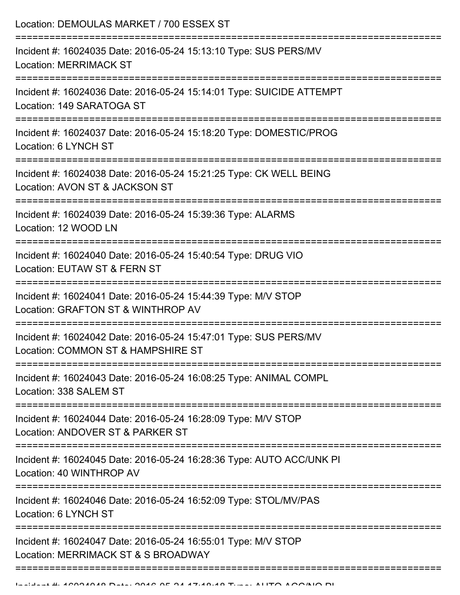| Incident #: 16024035 Date: 2016-05-24 15:13:10 Type: SUS PERS/MV<br><b>Location: MERRIMACK ST</b>                      |
|------------------------------------------------------------------------------------------------------------------------|
|                                                                                                                        |
| Incident #: 16024036 Date: 2016-05-24 15:14:01 Type: SUICIDE ATTEMPT<br>Location: 149 SARATOGA ST                      |
| Incident #: 16024037 Date: 2016-05-24 15:18:20 Type: DOMESTIC/PROG<br>Location: 6 LYNCH ST                             |
| Incident #: 16024038 Date: 2016-05-24 15:21:25 Type: CK WELL BEING<br>Location: AVON ST & JACKSON ST                   |
| Incident #: 16024039 Date: 2016-05-24 15:39:36 Type: ALARMS<br>Location: 12 WOOD LN<br>=============================== |
| Incident #: 16024040 Date: 2016-05-24 15:40:54 Type: DRUG VIO<br>Location: EUTAW ST & FERN ST                          |
| Incident #: 16024041 Date: 2016-05-24 15:44:39 Type: M/V STOP<br>Location: GRAFTON ST & WINTHROP AV                    |
| Incident #: 16024042 Date: 2016-05-24 15:47:01 Type: SUS PERS/MV<br>Location: COMMON ST & HAMPSHIRE ST                 |
| Incident #: 16024043 Date: 2016-05-24 16:08:25 Type: ANIMAL COMPL<br>Location: 338 SALEM ST                            |
| Incident #: 16024044 Date: 2016-05-24 16:28:09 Type: M/V STOP<br>Location: ANDOVER ST & PARKER ST                      |
| Incident #: 16024045 Date: 2016-05-24 16:28:36 Type: AUTO ACC/UNK PI<br>Location: 40 WINTHROP AV                       |
| Incident #: 16024046 Date: 2016-05-24 16:52:09 Type: STOL/MV/PAS<br>Location: 6 LYNCH ST                               |
| Incident #: 16024047 Date: 2016-05-24 16:55:01 Type: M/V STOP<br>Location: MERRIMACK ST & S BROADWAY                   |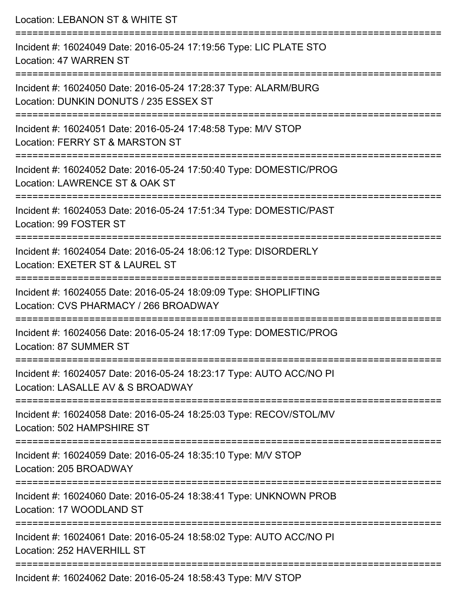| Location: LEBANON ST & WHITE ST                                                                                                                                       |
|-----------------------------------------------------------------------------------------------------------------------------------------------------------------------|
| Incident #: 16024049 Date: 2016-05-24 17:19:56 Type: LIC PLATE STO<br>Location: 47 WARREN ST<br>:======================                                               |
| Incident #: 16024050 Date: 2016-05-24 17:28:37 Type: ALARM/BURG<br>Location: DUNKIN DONUTS / 235 ESSEX ST                                                             |
| Incident #: 16024051 Date: 2016-05-24 17:48:58 Type: M/V STOP<br>Location: FERRY ST & MARSTON ST<br>=========================                                         |
| Incident #: 16024052 Date: 2016-05-24 17:50:40 Type: DOMESTIC/PROG<br>Location: LAWRENCE ST & OAK ST                                                                  |
| Incident #: 16024053 Date: 2016-05-24 17:51:34 Type: DOMESTIC/PAST<br>Location: 99 FOSTER ST                                                                          |
| Incident #: 16024054 Date: 2016-05-24 18:06:12 Type: DISORDERLY<br>Location: EXETER ST & LAUREL ST                                                                    |
| Incident #: 16024055 Date: 2016-05-24 18:09:09 Type: SHOPLIFTING<br>Location: CVS PHARMACY / 266 BROADWAY                                                             |
| Incident #: 16024056 Date: 2016-05-24 18:17:09 Type: DOMESTIC/PROG<br>Location: 87 SUMMER ST                                                                          |
| :=================================<br>===================<br>Incident #: 16024057 Date: 2016-05-24 18:23:17 Type: AUTO ACC/NO PI<br>Location: LASALLE AV & S BROADWAY |
| Incident #: 16024058 Date: 2016-05-24 18:25:03 Type: RECOV/STOL/MV<br>Location: 502 HAMPSHIRE ST                                                                      |
| Incident #: 16024059 Date: 2016-05-24 18:35:10 Type: M/V STOP<br>Location: 205 BROADWAY                                                                               |
| Incident #: 16024060 Date: 2016-05-24 18:38:41 Type: UNKNOWN PROB<br>Location: 17 WOODLAND ST                                                                         |
| Incident #: 16024061 Date: 2016-05-24 18:58:02 Type: AUTO ACC/NO PI<br>Location: 252 HAVERHILL ST                                                                     |
|                                                                                                                                                                       |

Incident #: 16024062 Date: 2016-05-24 18:58:43 Type: M/V STOP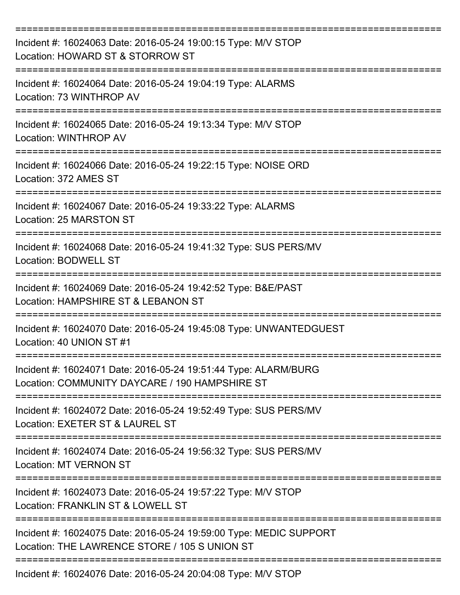| Incident #: 16024063 Date: 2016-05-24 19:00:15 Type: M/V STOP<br>Location: HOWARD ST & STORROW ST                         |
|---------------------------------------------------------------------------------------------------------------------------|
| Incident #: 16024064 Date: 2016-05-24 19:04:19 Type: ALARMS<br>Location: 73 WINTHROP AV                                   |
| Incident #: 16024065 Date: 2016-05-24 19:13:34 Type: M/V STOP<br>Location: WINTHROP AV                                    |
| Incident #: 16024066 Date: 2016-05-24 19:22:15 Type: NOISE ORD<br>Location: 372 AMES ST                                   |
| Incident #: 16024067 Date: 2016-05-24 19:33:22 Type: ALARMS<br>Location: 25 MARSTON ST<br>------------------------------- |
| Incident #: 16024068 Date: 2016-05-24 19:41:32 Type: SUS PERS/MV<br><b>Location: BODWELL ST</b>                           |
| Incident #: 16024069 Date: 2016-05-24 19:42:52 Type: B&E/PAST<br>Location: HAMPSHIRE ST & LEBANON ST                      |
| Incident #: 16024070 Date: 2016-05-24 19:45:08 Type: UNWANTEDGUEST<br>Location: 40 UNION ST #1                            |
| Incident #: 16024071 Date: 2016-05-24 19:51:44 Type: ALARM/BURG<br>Location: COMMUNITY DAYCARE / 190 HAMPSHIRE ST         |
| Incident #: 16024072 Date: 2016-05-24 19:52:49 Type: SUS PERS/MV<br>Location: EXETER ST & LAUREL ST                       |
| Incident #: 16024074 Date: 2016-05-24 19:56:32 Type: SUS PERS/MV<br><b>Location: MT VERNON ST</b>                         |
| Incident #: 16024073 Date: 2016-05-24 19:57:22 Type: M/V STOP<br>Location: FRANKLIN ST & LOWELL ST                        |
| Incident #: 16024075 Date: 2016-05-24 19:59:00 Type: MEDIC SUPPORT<br>Location: THE LAWRENCE STORE / 105 S UNION ST       |
| Incident #: 16024076 Date: 2016-05-24 20:04:08 Type: M/V STOP                                                             |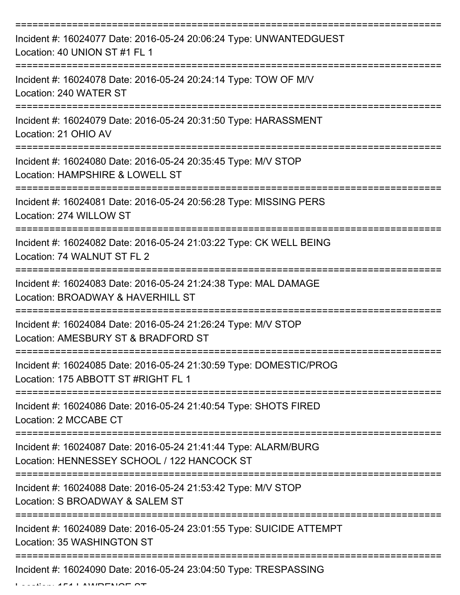| Incident #: 16024077 Date: 2016-05-24 20:06:24 Type: UNWANTEDGUEST<br>Location: 40 UNION ST #1 FL 1            |
|----------------------------------------------------------------------------------------------------------------|
| Incident #: 16024078 Date: 2016-05-24 20:24:14 Type: TOW OF M/V<br>Location: 240 WATER ST                      |
| Incident #: 16024079 Date: 2016-05-24 20:31:50 Type: HARASSMENT<br>Location: 21 OHIO AV                        |
| Incident #: 16024080 Date: 2016-05-24 20:35:45 Type: M/V STOP<br>Location: HAMPSHIRE & LOWELL ST               |
| Incident #: 16024081 Date: 2016-05-24 20:56:28 Type: MISSING PERS<br>Location: 274 WILLOW ST                   |
| Incident #: 16024082 Date: 2016-05-24 21:03:22 Type: CK WELL BEING<br>Location: 74 WALNUT ST FL 2              |
| Incident #: 16024083 Date: 2016-05-24 21:24:38 Type: MAL DAMAGE<br>Location: BROADWAY & HAVERHILL ST           |
| Incident #: 16024084 Date: 2016-05-24 21:26:24 Type: M/V STOP<br>Location: AMESBURY ST & BRADFORD ST           |
| Incident #: 16024085 Date: 2016-05-24 21:30:59 Type: DOMESTIC/PROG<br>Location: 175 ABBOTT ST #RIGHT FL 1      |
| Incident #: 16024086 Date: 2016-05-24 21:40:54 Type: SHOTS FIRED<br>Location: 2 MCCABE CT                      |
| Incident #: 16024087 Date: 2016-05-24 21:41:44 Type: ALARM/BURG<br>Location: HENNESSEY SCHOOL / 122 HANCOCK ST |
| Incident #: 16024088 Date: 2016-05-24 21:53:42 Type: M/V STOP<br>Location: S BROADWAY & SALEM ST               |
| Incident #: 16024089 Date: 2016-05-24 23:01:55 Type: SUICIDE ATTEMPT<br>Location: 35 WASHINGTON ST             |
| Incident #: 16024090 Date: 2016-05-24 23:04:50 Type: TRESPASSING                                               |